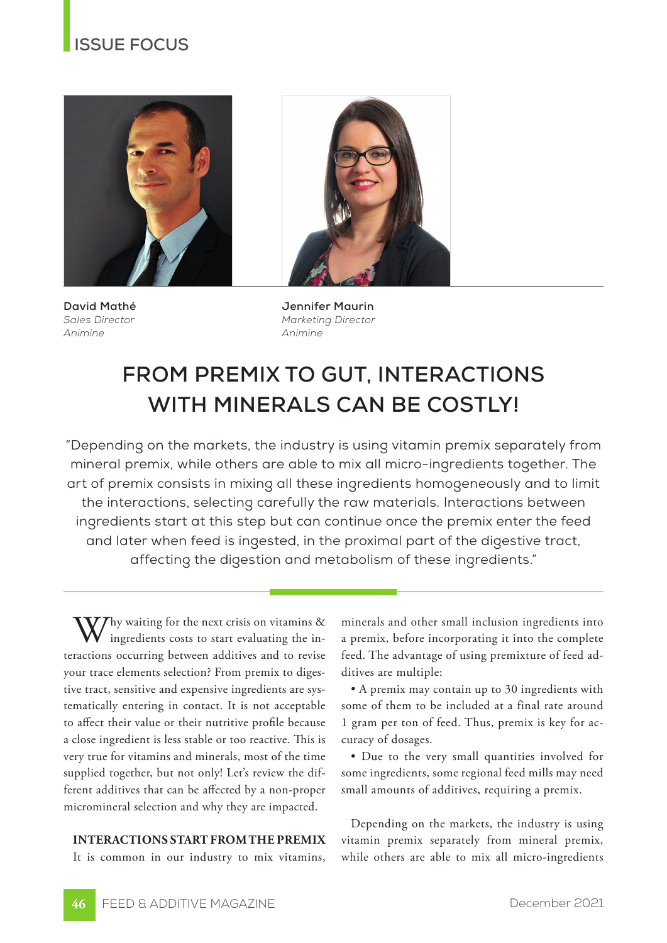### **ISSUE FOCUS**



**David Mathé** *Sales Director Animine*

**Jennifer Maurin** *Marketing Director Animine*

# **FROM PREMIX TO GUT, INTERACTIONS WITH MINERALS CAN BE COSTLY!**

"Depending on the markets, the industry is using vitamin premix separately from mineral premix, while others are able to mix all micro-ingredients together. The art of premix consists in mixing all these ingredients homogeneously and to limit the interactions, selecting carefully the raw materials. Interactions between ingredients start at this step but can continue once the premix enter the feed and later when feed is ingested, in the proximal part of the digestive tract, affecting the digestion and metabolism of these ingredients."

 $\overline{J}$ Thy waiting for the next crisis on vitamins & ingredients costs to start evaluating the interactions occurring between additives and to revise your trace elements selection? From premix to digestive tract, sensitive and expensive ingredients are systematically entering in contact. It is not acceptable to affect their value or their nutritive profile because a close ingredient is less stable or too reactive. This is very true for vitamins and minerals, most of the time supplied together, but not only! Let's review the different additives that can be affected by a non-proper micromineral selection and why they are impacted.

### **INTERACTIONS START FROM THE PREMIX**

It is common in our industry to mix vitamins,

minerals and other small inclusion ingredients into a premix, before incorporating it into the complete feed. The advantage of using premixture of feed additives are multiple:

• A premix may contain up to 30 ingredients with some of them to be included at a final rate around 1 gram per ton of feed. Thus, premix is key for accuracy of dosages.

• Due to the very small quantities involved for some ingredients, some regional feed mills may need small amounts of additives, requiring a premix.

Depending on the markets, the industry is using vitamin premix separately from mineral premix, while others are able to mix all micro-ingredients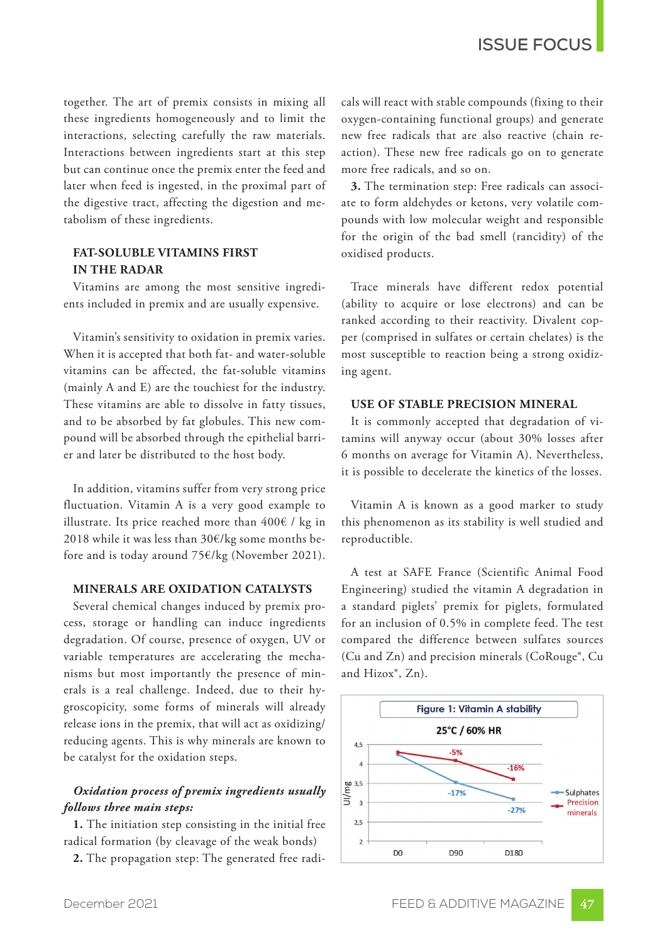together. The art of premix consists in mixing all these ingredients homogeneously and to limit the interactions, selecting carefully the raw materials. Interactions between ingredients start at this step but can continue once the premix enter the feed and later when feed is ingested, in the proximal part of the digestive tract, affecting the digestion and metabolism of these ingredients.

### **FAT-SOLUBLE VITAMINS FIRST IN THE RADAR**

Vitamins are among the most sensitive ingredients included in premix and are usually expensive.

Vitamin's sensitivity to oxidation in premix varies. When it is accepted that both fat- and water-soluble vitamins can be affected, the fat-soluble vitamins (mainly A and E) are the touchiest for the industry. These vitamins are able to dissolve in fatty tissues, and to be absorbed by fat globules. This new compound will be absorbed through the epithelial barrier and later be distributed to the host body.

In addition, vitamins suffer from very strong price fluctuation. Vitamin A is a very good example to illustrate. Its price reached more than  $400 \text{E}$  / kg in 2018 while it was less than 30€/kg some months before and is today around 75€/kg (November 2021).

### **MINERALS ARE OXIDATION CATALYSTS**

Several chemical changes induced by premix process, storage or handling can induce ingredients degradation. Of course, presence of oxygen, UV or variable temperatures are accelerating the mechanisms but most importantly the presence of minerals is a real challenge. Indeed, due to their hygroscopicity, some forms of minerals will already release ions in the premix, that will act as oxidizing/ reducing agents. This is why minerals are known to be catalyst for the oxidation steps.

### *Oxidation process of premix ingredients usually follows three main steps:*

**1.** The initiation step consisting in the initial free radical formation (by cleavage of the weak bonds)

**2.** The propagation step: The generated free radi-

cals will react with stable compounds (fixing to their oxygen-containing functional groups) and generate new free radicals that are also reactive (chain reaction). These new free radicals go on to generate more free radicals, and so on.

**3.** The termination step: Free radicals can associate to form aldehydes or ketons, very volatile compounds with low molecular weight and responsible for the origin of the bad smell (rancidity) of the oxidised products.

Trace minerals have different redox potential (ability to acquire or lose electrons) and can be ranked according to their reactivity. Divalent copper (comprised in sulfates or certain chelates) is the most susceptible to reaction being a strong oxidizing agent.

### **USE OF STABLE PRECISION MINERAL**

It is commonly accepted that degradation of vitamins will anyway occur (about 30% losses after 6 months on average for Vitamin A). Nevertheless, it is possible to decelerate the kinetics of the losses.

Vitamin A is known as a good marker to study this phenomenon as its stability is well studied and reproductible.

A test at SAFE France (Scientific Animal Food Engineering) studied the vitamin A degradation in a standard piglets' premix for piglets, formulated for an inclusion of 0.5% in complete feed. The test compared the difference between sulfates sources (Cu and Zn) and precision minerals (CoRouge®, Cu and Hizox®, Zn).

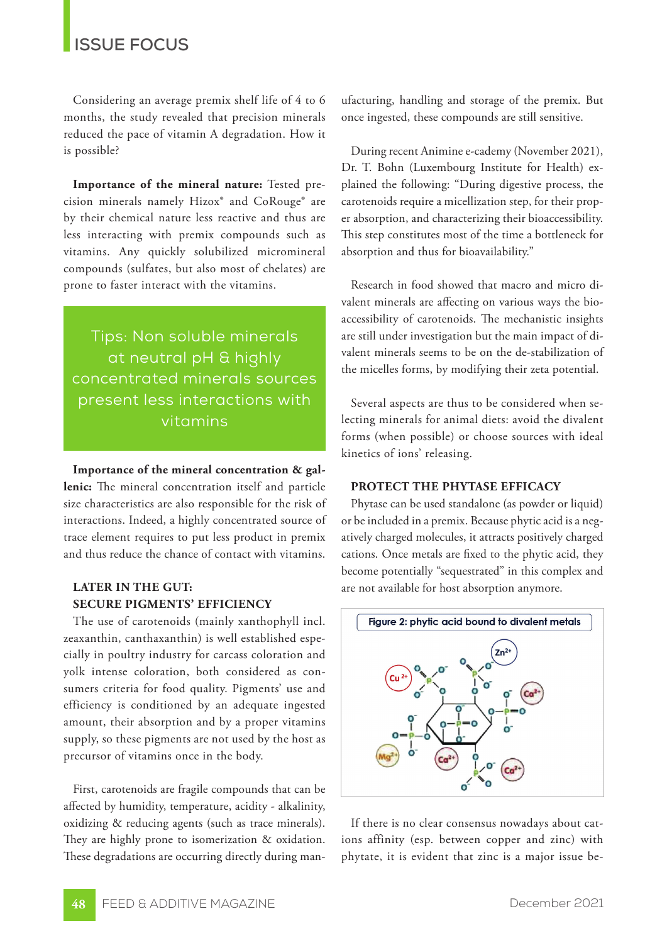### **ISSUE FOCUS**

Considering an average premix shelf life of 4 to 6 months, the study revealed that precision minerals reduced the pace of vitamin A degradation. How it is possible?

**Importance of the mineral nature:** Tested precision minerals namely Hizox® and CoRouge® are by their chemical nature less reactive and thus are less interacting with premix compounds such as vitamins. Any quickly solubilized micromineral compounds (sulfates, but also most of chelates) are prone to faster interact with the vitamins.

Tips: Non soluble minerals at neutral pH & highly concentrated minerals sources present less interactions with vitamins

### **Importance of the mineral concentration & gallenic:** The mineral concentration itself and particle size characteristics are also responsible for the risk of interactions. Indeed, a highly concentrated source of trace element requires to put less product in premix and thus reduce the chance of contact with vitamins.

### **LATER IN THE GUT: SECURE PIGMENTS' EFFICIENCY**

The use of carotenoids (mainly xanthophyll incl. zeaxanthin, canthaxanthin) is well established especially in poultry industry for carcass coloration and yolk intense coloration, both considered as consumers criteria for food quality. Pigments' use and efficiency is conditioned by an adequate ingested amount, their absorption and by a proper vitamins supply, so these pigments are not used by the host as precursor of vitamins once in the body.

First, carotenoids are fragile compounds that can be affected by humidity, temperature, acidity - alkalinity, oxidizing & reducing agents (such as trace minerals). They are highly prone to isomerization & oxidation. These degradations are occurring directly during manufacturing, handling and storage of the premix. But once ingested, these compounds are still sensitive.

During recent Animine e-cademy (November 2021), Dr. T. Bohn (Luxembourg Institute for Health) explained the following: "During digestive process, the carotenoids require a micellization step, for their proper absorption, and characterizing their bioaccessibility. This step constitutes most of the time a bottleneck for absorption and thus for bioavailability."

Research in food showed that macro and micro divalent minerals are affecting on various ways the bioaccessibility of carotenoids. The mechanistic insights are still under investigation but the main impact of divalent minerals seems to be on the de-stabilization of the micelles forms, by modifying their zeta potential.

Several aspects are thus to be considered when selecting minerals for animal diets: avoid the divalent forms (when possible) or choose sources with ideal kinetics of ions' releasing.

#### **PROTECT THE PHYTASE EFFICACY**

Phytase can be used standalone (as powder or liquid) or be included in a premix. Because phytic acid is a negatively charged molecules, it attracts positively charged cations. Once metals are fixed to the phytic acid, they become potentially "sequestrated" in this complex and are not available for host absorption anymore.



If there is no clear consensus nowadays about cations affinity (esp. between copper and zinc) with phytate, it is evident that zinc is a major issue be-